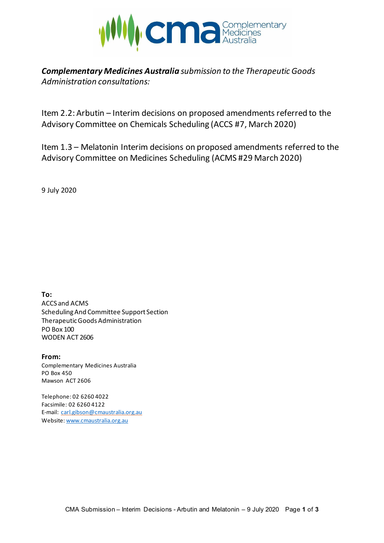

*Complementary Medicines Australia submission to the Therapeutic Goods Administration consultations:* 

Item 2.2: Arbutin – Interim decisions on proposed amendments referred to the Advisory Committee on Chemicals Scheduling (ACCS #7, March 2020)

Item 1.3 – Melatonin Interim decisions on proposed amendments referred to the Advisory Committee on Medicines Scheduling (ACMS #29 March 2020)

9 July 2020

**To:** ACCS and ACMS Scheduling And Committee Support Section Therapeutic Goods Administration PO Box 100 WODEN ACT 2606

**From:** Complementary Medicines Australia PO Box 450 Mawson ACT 2606

Telephone: 02 6260 4022 Facsimile: 02 6260 4122 E-mail: [carl.gibson@cmaustralia.org.au](mailto:carl.gibson@cmaustralia.org.au) Website: [www.cmaustralia.org.au](http://www.cmaustralia.org.au/)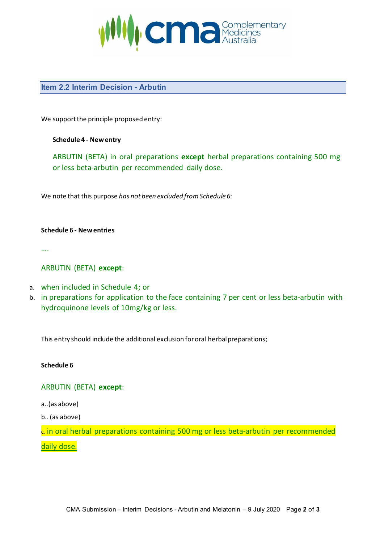

## **Item 2.2 Interim Decision - Arbutin**

We support the principle proposed entry:

#### **Schedule 4 - New entry**

ARBUTIN (BETA) in oral preparations **except** herbal preparations containing 500 mg or less beta-arbutin per recommended daily dose.

We note that this purpose *has not been excluded from Schedule 6*:

**Schedule 6 - New entries**

….

### ARBUTIN (BETA) **except**:

- a. when included in Schedule 4; or
- b. in preparations for application to the face containing 7 per cent or less beta-arbutin with hydroquinone levels of 10mg/kg or less.

This entry should include the additional exclusion for oral herbal preparations;

#### **Schedule 6**

#### ARBUTIN (BETA) **except**:

a..(as above)

b..(as above)

c. in oral herbal preparations containing 500 mg or less beta-arbutin per recommended daily dose.